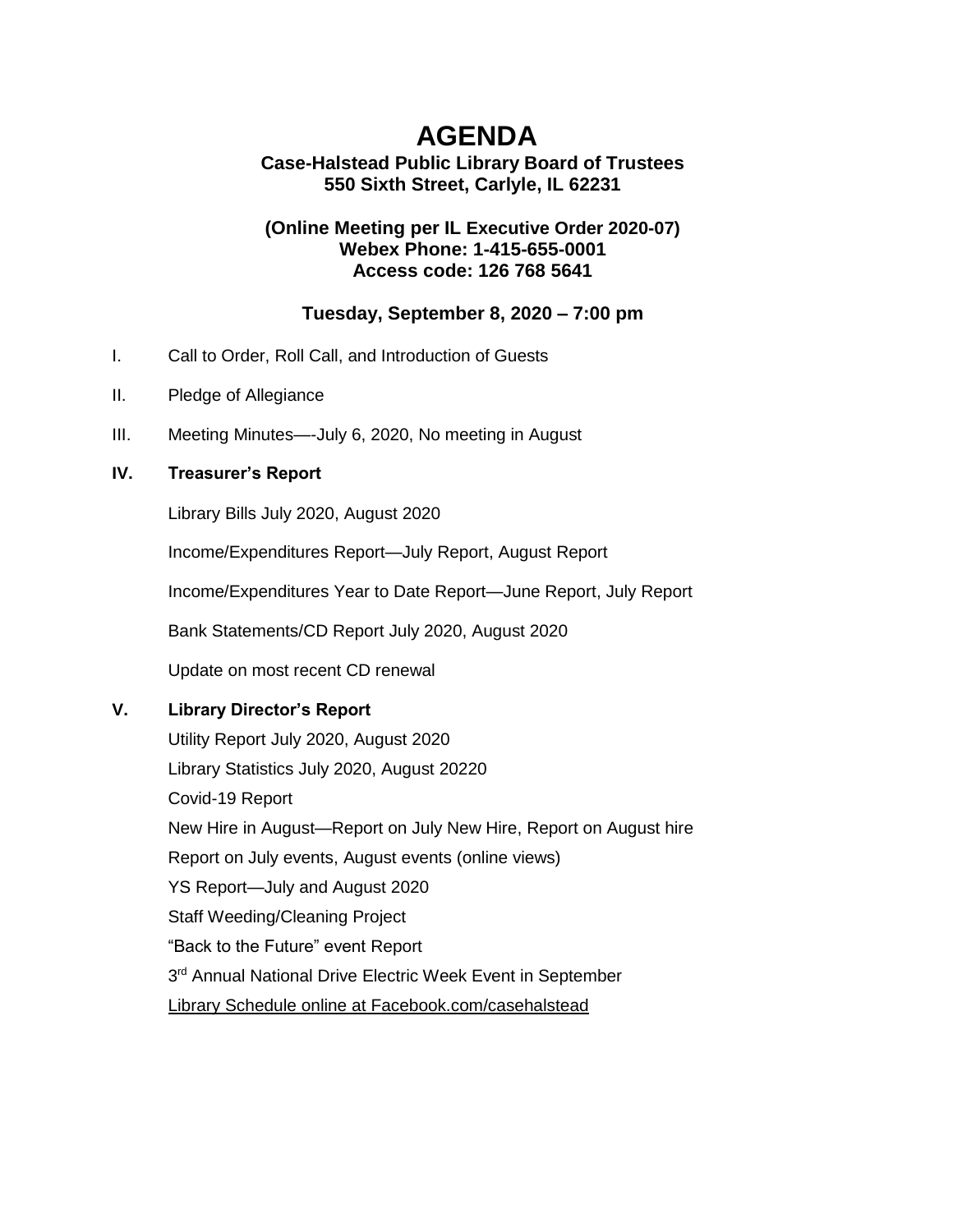# **AGENDA**

## **Case-Halstead Public Library Board of Trustees 550 Sixth Street, Carlyle, IL 62231**

#### **(Online Meeting per IL [Executive Order 2020-07\)](https://ila.us12.list-manage.com/track/click?u=6e70654dccbd86e15c572ad55&id=9dbd36cb1d&e=3c5b70de22) Webex Phone: 1-415-655-0001 Access code: 126 768 5641**

## **Tuesday, September 8, 2020 – 7:00 pm**

- I. Call to Order, Roll Call, and Introduction of Guests
- II. Pledge of Allegiance
- III. Meeting Minutes—-July 6, 2020, No meeting in August

#### **IV. Treasurer's Report**

Library Bills July 2020, August 2020

Income/Expenditures Report—July Report, August Report

Income/Expenditures Year to Date Report—June Report, July Report

Bank Statements/CD Report July 2020, August 2020

Update on most recent CD renewal

### **V. Library Director's Report**

Utility Report July 2020, August 2020 Library Statistics July 2020, August 20220 Covid-19 Report New Hire in August—Report on July New Hire, Report on August hire Report on July events, August events (online views) YS Report—July and August 2020 Staff Weeding/Cleaning Project "Back to the Future" event Report 3<sup>rd</sup> Annual National Drive Electric Week Event in September Library Schedule online at Facebook.com/casehalstead